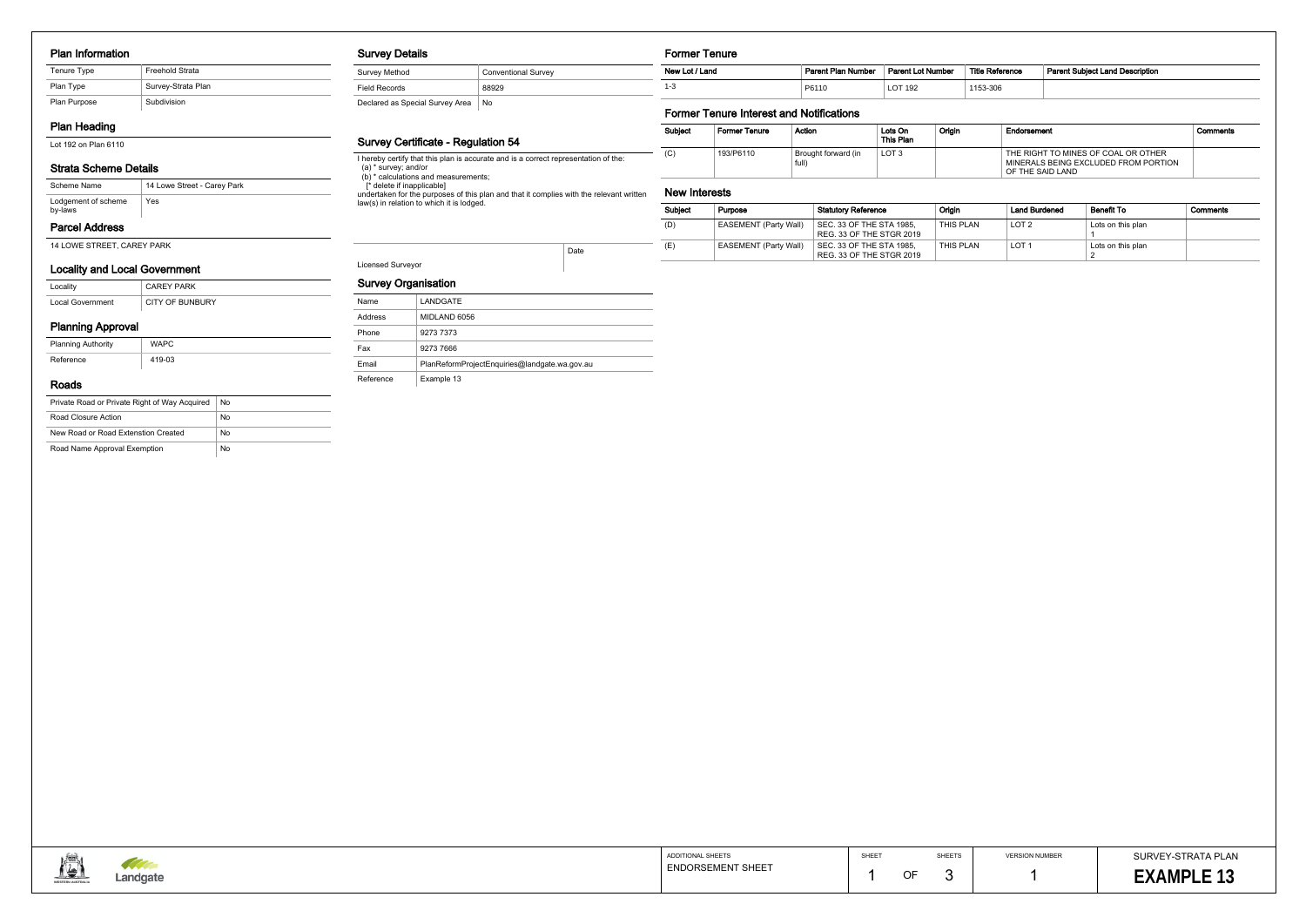#### Plan Information

| Tenure Type  | Freehold Strata    |
|--------------|--------------------|
| Plan Type    | Survey-Strata Plan |
| Plan Purpose | Subdivision        |

# Plan Heading

Lot 192 on Plan 6110

# Strata Scheme Details

# Parcel Address

14 LOWE STREET, CAREY PARK

| Scheme Name                    | 14 Lowe Street - Carey Park |
|--------------------------------|-----------------------------|
| Lodgement of scheme<br>by-laws | Yes                         |

#### Locality and Local Government

| Locality                | <b>CAREY PARK</b>      |
|-------------------------|------------------------|
| <b>Local Government</b> | <b>CITY OF BUNBURY</b> |

# Planning Approval

| <b>Planning Authority</b> | <b>WAPC</b> |
|---------------------------|-------------|
| Reference                 | 419-03      |

#### Roads

| Private Road or Private Right of Way Acquired | No |
|-----------------------------------------------|----|
| Road Closure Action                           | No |
| New Road or Road Extenstion Created           | No |
| Road Name Approval Exemption                  | No |

#### Survey Details

| Survey Method                   | <b>Conventional Survey</b> |
|---------------------------------|----------------------------|
| <b>Field Records</b>            | 88929                      |
| Declared as Special Survey Area | No                         |

#### Survey Certificate - Regulation 54

I hereby certify that this plan is accurate and is a correct representation of the:

(a) \* survey; and/or

 (b) \* calculations and measurements; [\* delete if inapplicable]

undertaken for the purposes of this plan and that it complies with the relevant written law(s) in relation to which it is lodged.



| Reference | <b>Parent Subject Land Description</b> |
|-----------|----------------------------------------|
| -306      |                                        |

# Licensed Surveyor

Date

# Survey Organisation

| <b>Survey Organisation</b> |                                               |
|----------------------------|-----------------------------------------------|
| Name                       | LANDGATE                                      |
| Address                    | MIDLAND 6056                                  |
| Phone                      | 9273 7373                                     |
| Fax                        | 9273 7666                                     |
| Email                      | PlanReformProjectEnquiries@landgate.wa.gov.au |
| Reference                  | Example 13                                    |

## Former Tenure

# Former Tenure Interest and Notifications

| <b>Subject</b> | <b>Former Tenure</b> | Action                       | Lots On<br>This Plan | Origin | Endorsement                                                                                     | Comments |
|----------------|----------------------|------------------------------|----------------------|--------|-------------------------------------------------------------------------------------------------|----------|
| (C)            | 193/P6110            | Brought forward (in<br>full) | LOT <sub>3</sub>     |        | THE RIGHT TO MINES OF COAL OR OTHER<br>MINERALS BEING EXCLUDED FROM PORTION<br>OF THE SAID LAND |          |

#### New Interests

| New Lot / Land | Parent Plan Number | <b>Parent Lot Number</b> | <b>Title Reference</b> | <b>Parent Subject Land Description</b> |
|----------------|--------------------|--------------------------|------------------------|----------------------------------------|
|                | P6110              | LOT 192                  | 1153-306               |                                        |

| <b>Subject</b> | Purpose                      | <b>Statutory Reference</b>                           | Origin    | <b>Land Burdened</b> | <b>Benefit To</b> | Comments |
|----------------|------------------------------|------------------------------------------------------|-----------|----------------------|-------------------|----------|
| (D)            | <b>EASEMENT (Party Wall)</b> | SEC. 33 OF THE STA 1985,<br>REG. 33 OF THE STGR 2019 | THIS PLAN | LOT <sub>2</sub>     | Lots on this plan |          |
| (E)            | <b>EASEMENT (Party Wall)</b> | SEC. 33 OF THE STA 1985.<br>REG. 33 OF THE STGR 2019 | THIS PLAN | LOT <sup>-</sup>     | Lots on this plan |          |

| ADDITIONAL SHEETS        |
|--------------------------|
|                          |
| <b>ENDORSEMENT SHEET</b> |
|                          |
|                          |

SURVEY-STRATA PLAN **EXAMPLE 13** 13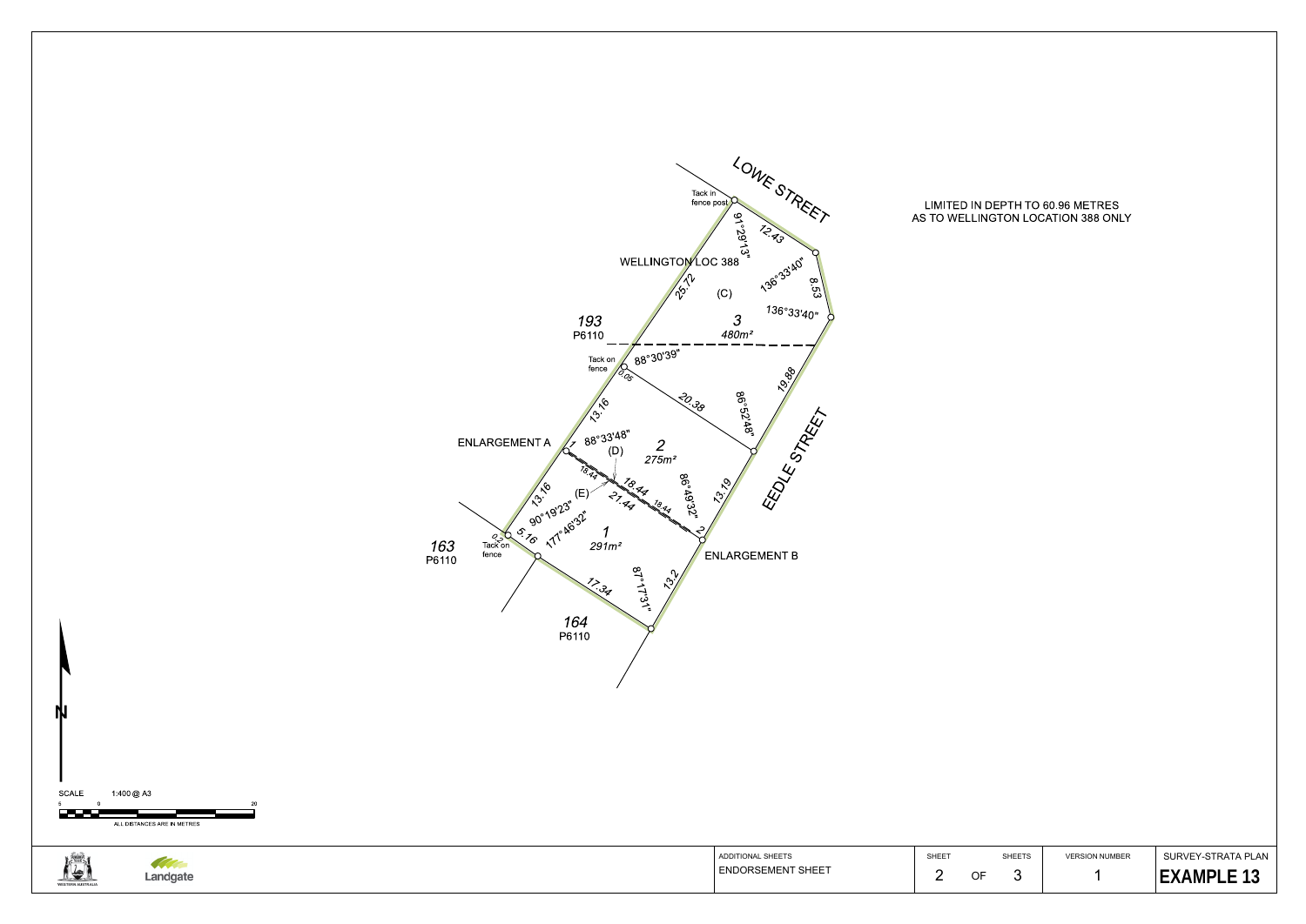

# LIMITED IN DEPTH TO 60.96 METRES AS TO WELLINGTON LOCATION 388 ONLY

SURVEY-STRATA PLAN**EXAMPLE 13** 

SHEETS

3

VERSION NUMBER1